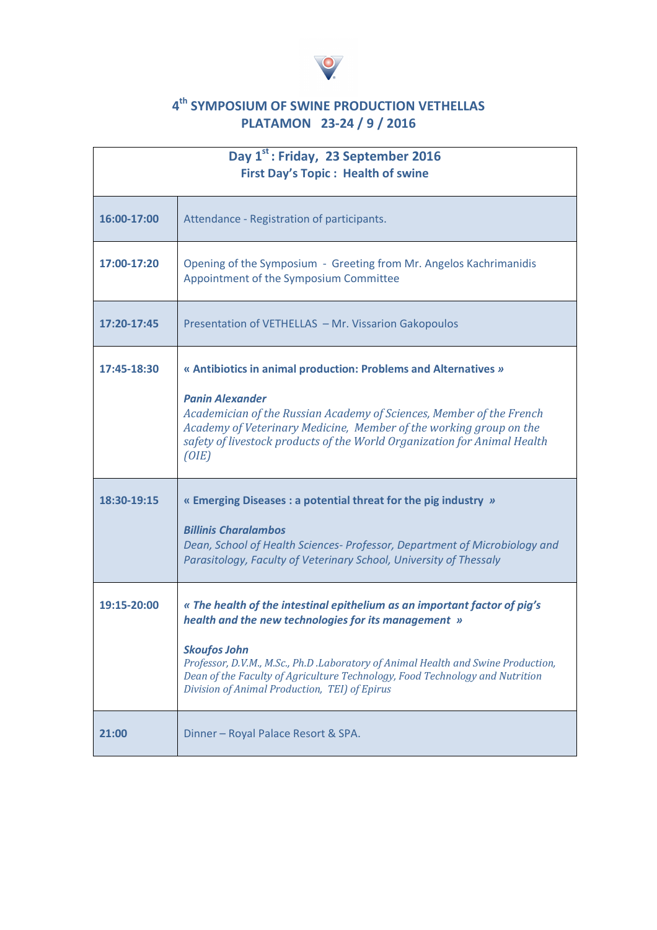

## **4 th SYMPOSIUM OF SWINE PRODUCTION VETHELLAS PLATAMON 23-24 / 9 / 2016**

| Day 1 <sup>st</sup> : Friday, 23 September 2016<br><b>First Day's Topic: Health of swine</b> |                                                                                                                                                                                                                                                                                                                                                                                |
|----------------------------------------------------------------------------------------------|--------------------------------------------------------------------------------------------------------------------------------------------------------------------------------------------------------------------------------------------------------------------------------------------------------------------------------------------------------------------------------|
| 16:00-17:00                                                                                  | Attendance - Registration of participants.                                                                                                                                                                                                                                                                                                                                     |
| 17:00-17:20                                                                                  | Opening of the Symposium - Greeting from Mr. Angelos Kachrimanidis<br>Appointment of the Symposium Committee                                                                                                                                                                                                                                                                   |
| 17:20-17:45                                                                                  | Presentation of VETHELLAS - Mr. Vissarion Gakopoulos                                                                                                                                                                                                                                                                                                                           |
| 17:45-18:30                                                                                  | « Antibiotics in animal production: Problems and Alternatives »<br><b>Panin Alexander</b><br>Academician of the Russian Academy of Sciences, Member of the French<br>Academy of Veterinary Medicine, Member of the working group on the<br>safety of livestock products of the World Organization for Animal Health<br>(OIE)                                                   |
| 18:30-19:15                                                                                  | « Emerging Diseases : a potential threat for the pig industry »<br><b>Billinis Charalambos</b><br>Dean, School of Health Sciences- Professor, Department of Microbiology and<br>Parasitology, Faculty of Veterinary School, University of Thessaly                                                                                                                             |
| 19:15-20:00                                                                                  | « The health of the intestinal epithelium as an important factor of pig's<br>health and the new technologies for its management »<br><b>Skoufos John</b><br>Professor, D.V.M., M.Sc., Ph.D .Laboratory of Animal Health and Swine Production,<br>Dean of the Faculty of Agriculture Technology, Food Technology and Nutrition<br>Division of Animal Production, TEI) of Epirus |
| 21:00                                                                                        | Dinner - Royal Palace Resort & SPA.                                                                                                                                                                                                                                                                                                                                            |